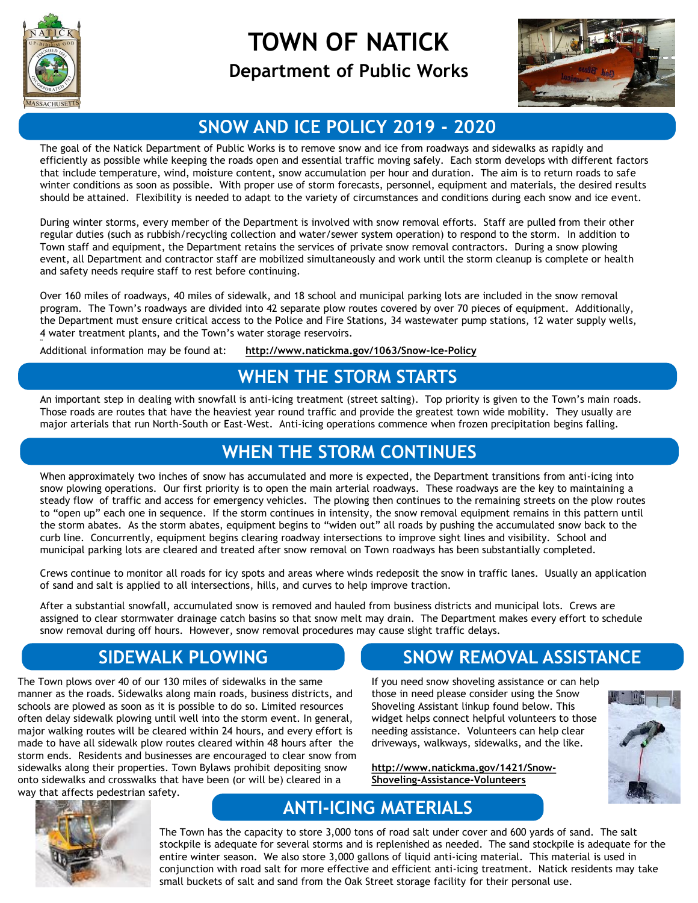

44

## **TOWN OF NATICK**

#### **Department of Public Works**



#### **SNOW AND ICE POLICY 2019 - 2020**

The goal of the Natick Department of Public Works is to remove snow and ice from roadways and sidewalks as rapidly and efficiently as possible while keeping the roads open and essential traffic moving safely. Each storm develops with different factors that include temperature, wind, moisture content, snow accumulation per hour and duration. The aim is to return roads to safe winter conditions as soon as possible. With proper use of storm forecasts, personnel, equipment and materials, the desired results should be attained. Flexibility is needed to adapt to the variety of circumstances and conditions during each snow and ice event.

During winter storms, every member of the Department is involved with snow removal efforts. Staff are pulled from their other regular duties (such as rubbish/recycling collection and water/sewer system operation) to respond to the storm. In addition to Town staff and equipment, the Department retains the services of private snow removal contractors. During a snow plowing event, all Department and contractor staff are mobilized simultaneously and work until the storm cleanup is complete or health and safety needs require staff to rest before continuing.

Over 160 miles of roadways, 40 miles of sidewalk, and 18 school and municipal parking lots are included in the snow removal program. The Town's roadways are divided into 42 separate plow routes covered by over 70 pieces of equipment. Additionally, the Department must ensure critical access to the Police and Fire Stations, 34 wastewater pump stations, 12 water supply wells, 4 water treatment plants, and the Town's water storage reservoirs.

Additional information may be found at: **http://www.natickma.gov/1063/Snow-Ice-Policy**

#### **WHEN THE STORM STARTS**

An important step in dealing with snowfall is anti-icing treatment (street salting). Top priority is given to the Town's main roads. Those roads are routes that have the heaviest year round traffic and provide the greatest town wide mobility. They usually are major arterials that run North-South or East-West. Anti-icing operations commence when frozen precipitation begins falling.

#### **WHEN THE STORM CONTINUES**

When approximately two inches of snow has accumulated and more is expected, the Department transitions from anti-icing into snow plowing operations. Our first priority is to open the main arterial roadways. These roadways are the key to maintaining a steady flow of traffic and access for emergency vehicles. The plowing then continues to the remaining streets on the plow routes to "open up" each one in sequence. If the storm continues in intensity, the snow removal equipment remains in this pattern until the storm abates. As the storm abates, equipment begins to "widen out" all roads by pushing the accumulated snow back to the curb line. Concurrently, equipment begins clearing roadway intersections to improve sight lines and visibility. School and municipal parking lots are cleared and treated after snow removal on Town roadways has been substantially completed.

Crews continue to monitor all roads for icy spots and areas where winds redeposit the snow in traffic lanes. Usually an application of sand and salt is applied to all intersections, hills, and curves to help improve traction.

After a substantial snowfall, accumulated snow is removed and hauled from business districts and municipal lots. Crews are assigned to clear stormwater drainage catch basins so that snow melt may drain. The Department makes every effort to schedule snow removal during off hours. However, snow removal procedures may cause slight traffic delays.

## **SIDEWALK PLOWING**

The Town plows over 40 of our 130 miles of sidewalks in the same manner as the roads. Sidewalks along main roads, business districts, and schools are plowed as soon as it is possible to do so. Limited resources often delay sidewalk plowing until well into the storm event. In general, major walking routes will be cleared within 24 hours, and every effort is made to have all sidewalk plow routes cleared within 48 hours after the storm ends. Residents and businesses are encouraged to clear snow from sidewalks along their properties. Town Bylaws prohibit depositing snow onto sidewalks and crosswalks that have been (or will be) cleared in a way that affects pedestrian safety.

## **SNOW REMOVAL ASSISTANCE**

If you need snow shoveling assistance or can help those in need please consider using the Snow Shoveling Assistant linkup found below. This widget helps connect helpful volunteers to those needing assistance. Volunteers can help clear driveways, walkways, sidewalks, and the like.

**http://www.natickma.gov/1421/Snow-Shoveling-Assistance-Volunteers**





## **ANTI-ICING MATERIALS**

The Town has the capacity to store 3,000 tons of road salt under cover and 600 yards of sand. The salt stockpile is adequate for several storms and is replenished as needed. The sand stockpile is adequate for the entire winter season. We also store 3,000 gallons of liquid anti-icing material. This material is used in conjunction with road salt for more effective and efficient anti-icing treatment. Natick residents may take small buckets of salt and sand from the Oak Street storage facility for their personal use.